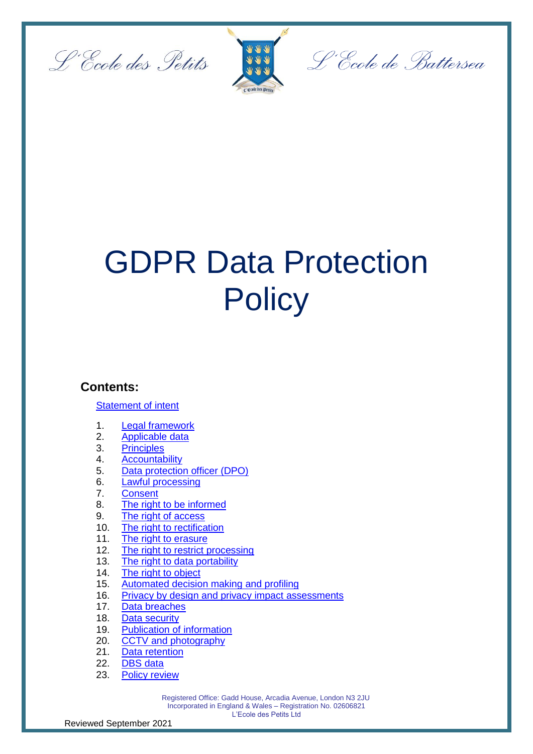



L'École de Battersea

# GDPR Data Protection **Policy**

### **Contents:**

#### **[Statement of intent](#page-1-0)**

- 1. [Legal framework](#page-1-1)
- 2. [Applicable data](#page-2-0)
- 3. [Principles](#page-2-1)
- 4. [Accountability](#page-3-0)
- 5. [Data protection officer \(DPO\)](#page-3-1)
- 6. [Lawful processing](#page-4-0)
- 7. [Consent](#page-5-0)
- 8. [The right to be informed](#page-6-0)
- 9. [The right of access](#page-7-0)
- 10. [The right to rectification](#page-8-0)
- 11. [The right to erasure](#page-8-1)
- 12. [The right to restrict processing](#page-9-0)
- 13. [The right to data portability](#page-9-1)
- 14. [The right to object](#page-10-0)
- 15. [Automated decision making and profiling](#page-11-0)
- 16. [Privacy by design and privacy impact assessments](#page-12-0)
- 17. [Data breaches](#page-13-0)
- 18. [Data security](#page-14-0)
- 19. Publication [of information](#page-15-0)
- 20. [CCTV and photography](#page-15-1)
- 21. [Data retention](#page-16-0)
- 22. [DBS data](#page-16-1)
- 23. [Policy review](#page-16-2)

 Registered Office: Gadd House, Arcadia Avenue, London N3 2JU Incorporated in England & Wales – Registration No. 02606821 L'Ecole des Petits Ltd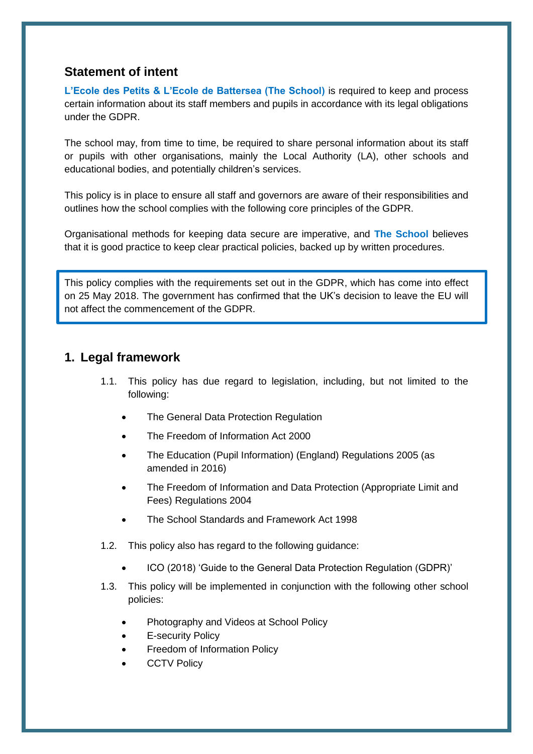# <span id="page-1-0"></span>**Statement of intent**

**L'Ecole des Petits & L'Ecole de Battersea (The School)** is required to keep and process certain information about its staff members and pupils in accordance with its legal obligations under the GDPR.

The school may, from time to time, be required to share personal information about its staff or pupils with other organisations, mainly the Local Authority (LA), other schools and educational bodies, and potentially children's services.

This policy is in place to ensure all staff and governors are aware of their responsibilities and outlines how the school complies with the following core principles of the GDPR.

Organisational methods for keeping data secure are imperative, and **The School** believes that it is good practice to keep clear practical policies, backed up by written procedures.

This policy complies with the requirements set out in the GDPR, which has come into effect on 25 May 2018. The government has confirmed that the UK's decision to leave the EU will not affect the commencement of the GDPR.

# <span id="page-1-1"></span>**1. Legal framework**

- 1.1. This policy has due regard to legislation, including, but not limited to the following:
	- The General Data Protection Regulation
	- The Freedom of Information Act 2000
	- The Education (Pupil Information) (England) Regulations 2005 (as amended in 2016)
	- The Freedom of Information and Data Protection (Appropriate Limit and Fees) Regulations 2004
	- The School Standards and Framework Act 1998
- 1.2. This policy also has regard to the following guidance:
	- ICO (2018) 'Guide to the General Data Protection Regulation (GDPR)'
- 1.3. This policy will be implemented in conjunction with the following other school policies:
	- Photography and Videos at School Policy
	- E-security Policy
	- Freedom of Information Policy
	- **CCTV Policy**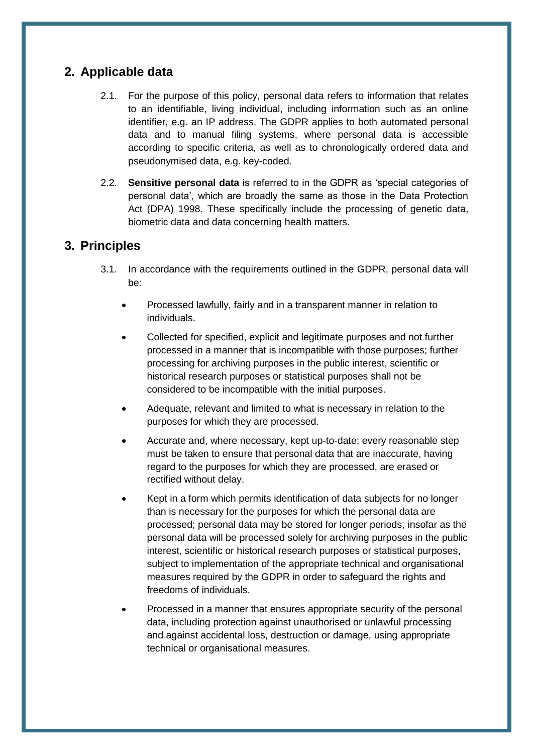# <span id="page-2-0"></span>**2. Applicable data**

- 2.1. For the purpose of this policy, personal data refers to information that relates to an identifiable, living individual, including information such as an online identifier, e.g. an IP address. The GDPR applies to both automated personal data and to manual filing systems, where personal data is accessible according to specific criteria, as well as to chronologically ordered data and pseudonymised data, e.g. key-coded.
- 2.2. **Sensitive personal data** is referred to in the GDPR as 'special categories of personal data', which are broadly the same as those in the Data Protection Act (DPA) 1998. These specifically include the processing of genetic data, biometric data and data concerning health matters.

# <span id="page-2-1"></span>**3. Principles**

- 3.1. In accordance with the requirements outlined in the GDPR, personal data will be:
	- Processed lawfully, fairly and in a transparent manner in relation to individuals.
	- Collected for specified, explicit and legitimate purposes and not further processed in a manner that is incompatible with those purposes; further processing for archiving purposes in the public interest, scientific or historical research purposes or statistical purposes shall not be considered to be incompatible with the initial purposes.
	- Adequate, relevant and limited to what is necessary in relation to the purposes for which they are processed.
	- Accurate and, where necessary, kept up-to-date; every reasonable step must be taken to ensure that personal data that are inaccurate, having regard to the purposes for which they are processed, are erased or rectified without delay.
	- Kept in a form which permits identification of data subjects for no longer than is necessary for the purposes for which the personal data are processed; personal data may be stored for longer periods, insofar as the personal data will be processed solely for archiving purposes in the public interest, scientific or historical research purposes or statistical purposes, subject to implementation of the appropriate technical and organisational measures required by the GDPR in order to safeguard the rights and freedoms of individuals.
	- Processed in a manner that ensures appropriate security of the personal data, including protection against unauthorised or unlawful processing and against accidental loss, destruction or damage, using appropriate technical or organisational measures.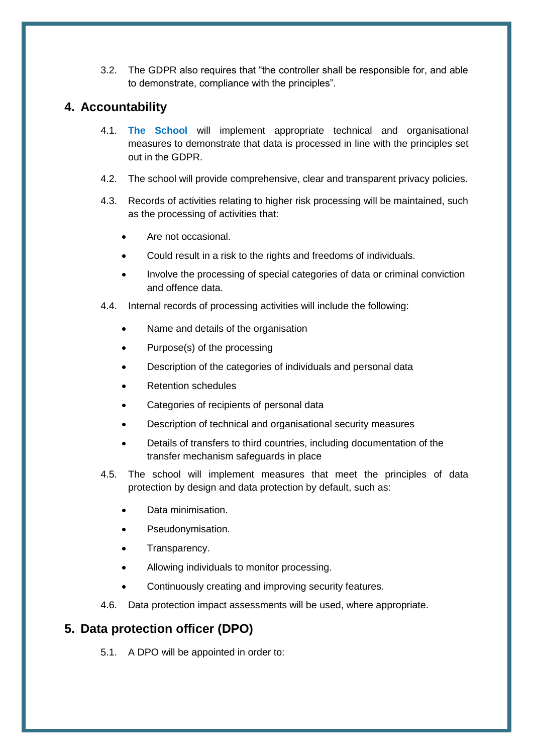3.2. The GDPR also requires that "the controller shall be responsible for, and able to demonstrate, compliance with the principles".

# <span id="page-3-0"></span>**4. Accountability**

- 4.1. **The School** will implement appropriate technical and organisational measures to demonstrate that data is processed in line with the principles set out in the GDPR.
- 4.2. The school will provide comprehensive, clear and transparent privacy policies.
- 4.3. Records of activities relating to higher risk processing will be maintained, such as the processing of activities that:
	- Are not occasional.
	- Could result in a risk to the rights and freedoms of individuals.
	- Involve the processing of special categories of data or criminal conviction and offence data.
- 4.4. Internal records of processing activities will include the following:
	- Name and details of the organisation
	- Purpose(s) of the processing
	- Description of the categories of individuals and personal data
	- Retention schedules
	- Categories of recipients of personal data
	- Description of technical and organisational security measures
	- Details of transfers to third countries, including documentation of the transfer mechanism safeguards in place
- 4.5. The school will implement measures that meet the principles of data protection by design and data protection by default, such as:
	- Data minimisation.
	- Pseudonymisation.
	- Transparency.
	- Allowing individuals to monitor processing.
	- Continuously creating and improving security features.
- 4.6. Data protection impact assessments will be used, where appropriate.

# <span id="page-3-1"></span>**5. Data protection officer (DPO)**

5.1. A DPO will be appointed in order to: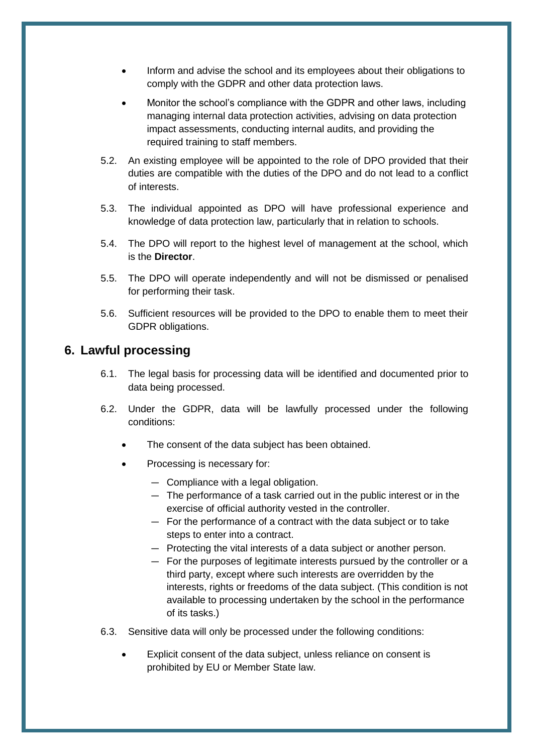- Inform and advise the school and its employees about their obligations to comply with the GDPR and other data protection laws.
- Monitor the school's compliance with the GDPR and other laws, including managing internal data protection activities, advising on data protection impact assessments, conducting internal audits, and providing the required training to staff members.
- 5.2. An existing employee will be appointed to the role of DPO provided that their duties are compatible with the duties of the DPO and do not lead to a conflict of interests.
- 5.3. The individual appointed as DPO will have professional experience and knowledge of data protection law, particularly that in relation to schools.
- 5.4. The DPO will report to the highest level of management at the school, which is the **Director**.
- 5.5. The DPO will operate independently and will not be dismissed or penalised for performing their task.
- 5.6. Sufficient resources will be provided to the DPO to enable them to meet their GDPR obligations.

## <span id="page-4-0"></span>**6. Lawful processing**

- 6.1. The legal basis for processing data will be identified and documented prior to data being processed.
- 6.2. Under the GDPR, data will be lawfully processed under the following conditions:
	- The consent of the data subject has been obtained.
	- Processing is necessary for:
		- Compliance with a legal obligation.
		- The performance of a task carried out in the public interest or in the exercise of official authority vested in the controller.
		- For the performance of a contract with the data subject or to take steps to enter into a contract.
		- Protecting the vital interests of a data subject or another person.
		- For the purposes of legitimate interests pursued by the controller or a third party, except where such interests are overridden by the interests, rights or freedoms of the data subject. (This condition is not available to processing undertaken by the school in the performance of its tasks.)
- 6.3. Sensitive data will only be processed under the following conditions:
	- Explicit consent of the data subject, unless reliance on consent is prohibited by EU or Member State law.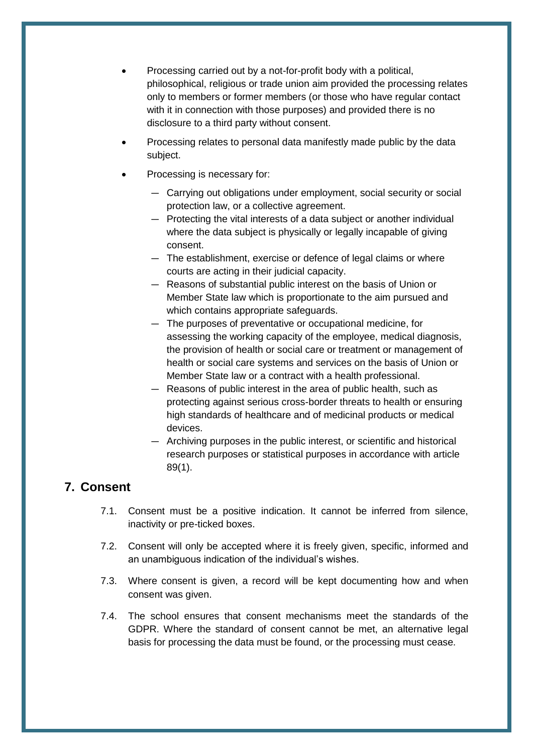- Processing carried out by a not-for-profit body with a political, philosophical, religious or trade union aim provided the processing relates only to members or former members (or those who have regular contact with it in connection with those purposes) and provided there is no disclosure to a third party without consent.
- Processing relates to personal data manifestly made public by the data subject.
- Processing is necessary for:
	- Carrying out obligations under employment, social security or social protection law, or a collective agreement.
	- Protecting the vital interests of a data subject or another individual where the data subject is physically or legally incapable of giving consent.
	- The establishment, exercise or defence of legal claims or where courts are acting in their judicial capacity.
	- Reasons of substantial public interest on the basis of Union or Member State law which is proportionate to the aim pursued and which contains appropriate safeguards.
	- The purposes of preventative or occupational medicine, for assessing the working capacity of the employee, medical diagnosis, the provision of health or social care or treatment or management of health or social care systems and services on the basis of Union or Member State law or a contract with a health professional.
	- Reasons of public interest in the area of public health, such as protecting against serious cross-border threats to health or ensuring high standards of healthcare and of medicinal products or medical devices.
	- Archiving purposes in the public interest, or scientific and historical research purposes or statistical purposes in accordance with article 89(1).

# <span id="page-5-0"></span>**7. Consent**

- 7.1. Consent must be a positive indication. It cannot be inferred from silence, inactivity or pre-ticked boxes.
- 7.2. Consent will only be accepted where it is freely given, specific, informed and an unambiguous indication of the individual's wishes.
- 7.3. Where consent is given, a record will be kept documenting how and when consent was given.
- 7.4. The school ensures that consent mechanisms meet the standards of the GDPR. Where the standard of consent cannot be met, an alternative legal basis for processing the data must be found, or the processing must cease.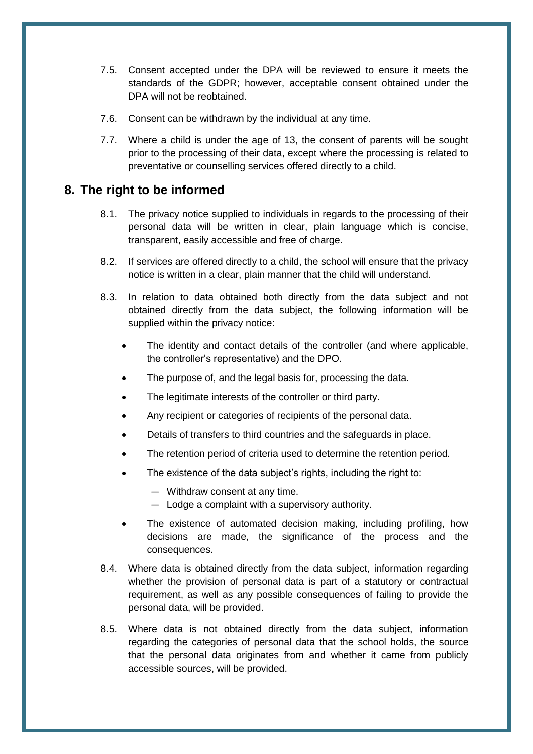- 7.5. Consent accepted under the DPA will be reviewed to ensure it meets the standards of the GDPR; however, acceptable consent obtained under the DPA will not be reobtained.
- 7.6. Consent can be withdrawn by the individual at any time.
- 7.7. Where a child is under the age of 13, the consent of parents will be sought prior to the processing of their data, except where the processing is related to preventative or counselling services offered directly to a child.

# <span id="page-6-0"></span>**8. The right to be informed**

- 8.1. The privacy notice supplied to individuals in regards to the processing of their personal data will be written in clear, plain language which is concise, transparent, easily accessible and free of charge.
- 8.2. If services are offered directly to a child, the school will ensure that the privacy notice is written in a clear, plain manner that the child will understand.
- 8.3. In relation to data obtained both directly from the data subject and not obtained directly from the data subject, the following information will be supplied within the privacy notice:
	- The identity and contact details of the controller (and where applicable, the controller's representative) and the DPO.
	- The purpose of, and the legal basis for, processing the data.
	- The legitimate interests of the controller or third party.
	- Any recipient or categories of recipients of the personal data.
	- Details of transfers to third countries and the safeguards in place.
	- The retention period of criteria used to determine the retention period.
	- The existence of the data subject's rights, including the right to:
		- Withdraw consent at any time.
		- Lodge a complaint with a supervisory authority.
	- The existence of automated decision making, including profiling, how decisions are made, the significance of the process and the consequences.
- 8.4. Where data is obtained directly from the data subject, information regarding whether the provision of personal data is part of a statutory or contractual requirement, as well as any possible consequences of failing to provide the personal data, will be provided.
- 8.5. Where data is not obtained directly from the data subject, information regarding the categories of personal data that the school holds, the source that the personal data originates from and whether it came from publicly accessible sources, will be provided.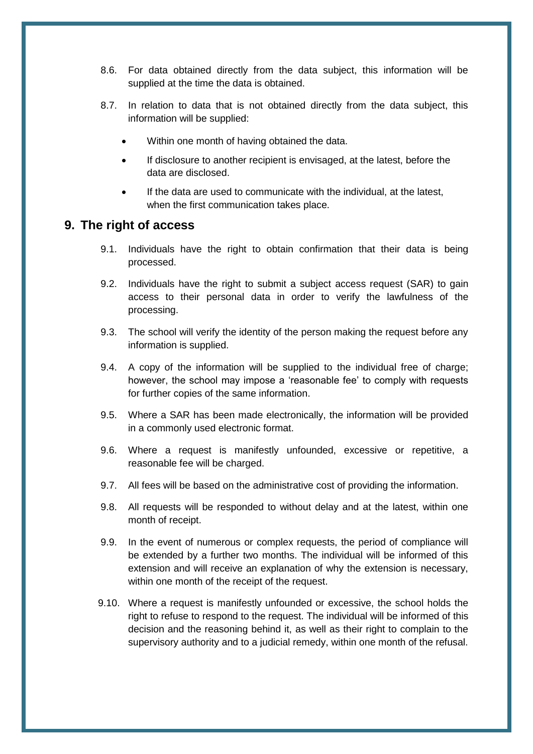- 8.6. For data obtained directly from the data subject, this information will be supplied at the time the data is obtained.
- 8.7. In relation to data that is not obtained directly from the data subject, this information will be supplied:
	- Within one month of having obtained the data.
	- If disclosure to another recipient is envisaged, at the latest, before the data are disclosed.
	- If the data are used to communicate with the individual, at the latest, when the first communication takes place.

#### <span id="page-7-0"></span>**9. The right of access**

- 9.1. Individuals have the right to obtain confirmation that their data is being processed.
- 9.2. Individuals have the right to submit a subject access request (SAR) to gain access to their personal data in order to verify the lawfulness of the processing.
- 9.3. The school will verify the identity of the person making the request before any information is supplied.
- 9.4. A copy of the information will be supplied to the individual free of charge; however, the school may impose a 'reasonable fee' to comply with requests for further copies of the same information.
- 9.5. Where a SAR has been made electronically, the information will be provided in a commonly used electronic format.
- 9.6. Where a request is manifestly unfounded, excessive or repetitive, a reasonable fee will be charged.
- 9.7. All fees will be based on the administrative cost of providing the information.
- 9.8. All requests will be responded to without delay and at the latest, within one month of receipt.
- 9.9. In the event of numerous or complex requests, the period of compliance will be extended by a further two months. The individual will be informed of this extension and will receive an explanation of why the extension is necessary, within one month of the receipt of the request.
- 9.10. Where a request is manifestly unfounded or excessive, the school holds the right to refuse to respond to the request. The individual will be informed of this decision and the reasoning behind it, as well as their right to complain to the supervisory authority and to a judicial remedy, within one month of the refusal.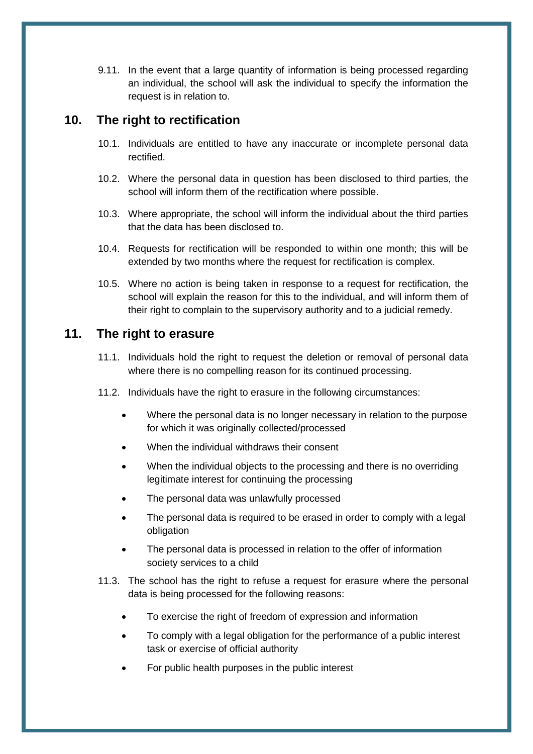9.11. In the event that a large quantity of information is being processed regarding an individual, the school will ask the individual to specify the information the request is in relation to.

## <span id="page-8-0"></span>**10. The right to rectification**

- 10.1. Individuals are entitled to have any inaccurate or incomplete personal data rectified.
- 10.2. Where the personal data in question has been disclosed to third parties, the school will inform them of the rectification where possible.
- 10.3. Where appropriate, the school will inform the individual about the third parties that the data has been disclosed to.
- 10.4. Requests for rectification will be responded to within one month; this will be extended by two months where the request for rectification is complex.
- 10.5. Where no action is being taken in response to a request for rectification, the school will explain the reason for this to the individual, and will inform them of their right to complain to the supervisory authority and to a judicial remedy.

# <span id="page-8-1"></span>**11. The right to erasure**

- 11.1. Individuals hold the right to request the deletion or removal of personal data where there is no compelling reason for its continued processing.
- 11.2. Individuals have the right to erasure in the following circumstances:
	- Where the personal data is no longer necessary in relation to the purpose for which it was originally collected/processed
	- When the individual withdraws their consent
	- When the individual objects to the processing and there is no overriding legitimate interest for continuing the processing
	- The personal data was unlawfully processed
	- The personal data is required to be erased in order to comply with a legal obligation
	- The personal data is processed in relation to the offer of information society services to a child
- 11.3. The school has the right to refuse a request for erasure where the personal data is being processed for the following reasons:
	- To exercise the right of freedom of expression and information
	- To comply with a legal obligation for the performance of a public interest task or exercise of official authority
	- For public health purposes in the public interest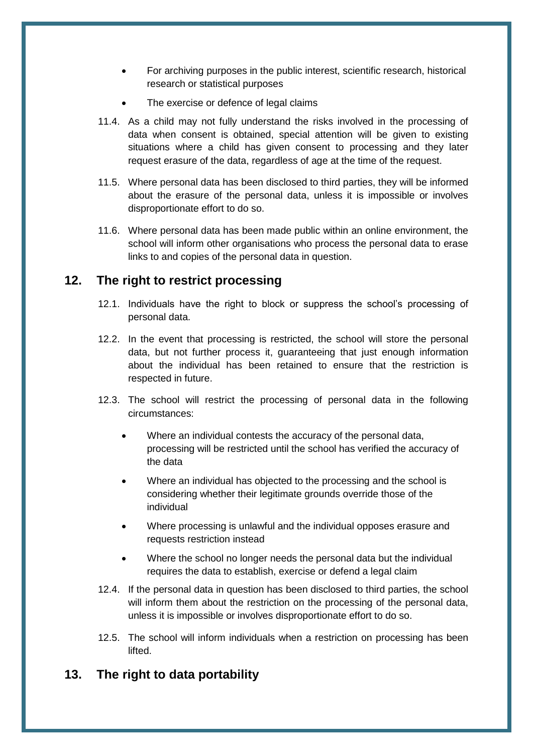- For archiving purposes in the public interest, scientific research, historical research or statistical purposes
- The exercise or defence of legal claims
- 11.4. As a child may not fully understand the risks involved in the processing of data when consent is obtained, special attention will be given to existing situations where a child has given consent to processing and they later request erasure of the data, regardless of age at the time of the request.
- 11.5. Where personal data has been disclosed to third parties, they will be informed about the erasure of the personal data, unless it is impossible or involves disproportionate effort to do so.
- 11.6. Where personal data has been made public within an online environment, the school will inform other organisations who process the personal data to erase links to and copies of the personal data in question.

## <span id="page-9-0"></span>**12. The right to restrict processing**

- 12.1. Individuals have the right to block or suppress the school's processing of personal data.
- 12.2. In the event that processing is restricted, the school will store the personal data, but not further process it, guaranteeing that just enough information about the individual has been retained to ensure that the restriction is respected in future.
- 12.3. The school will restrict the processing of personal data in the following circumstances:
	- Where an individual contests the accuracy of the personal data, processing will be restricted until the school has verified the accuracy of the data
	- Where an individual has objected to the processing and the school is considering whether their legitimate grounds override those of the individual
	- Where processing is unlawful and the individual opposes erasure and requests restriction instead
	- Where the school no longer needs the personal data but the individual requires the data to establish, exercise or defend a legal claim
- 12.4. If the personal data in question has been disclosed to third parties, the school will inform them about the restriction on the processing of the personal data, unless it is impossible or involves disproportionate effort to do so.
- 12.5. The school will inform individuals when a restriction on processing has been lifted.

# <span id="page-9-1"></span>**13. The right to data portability**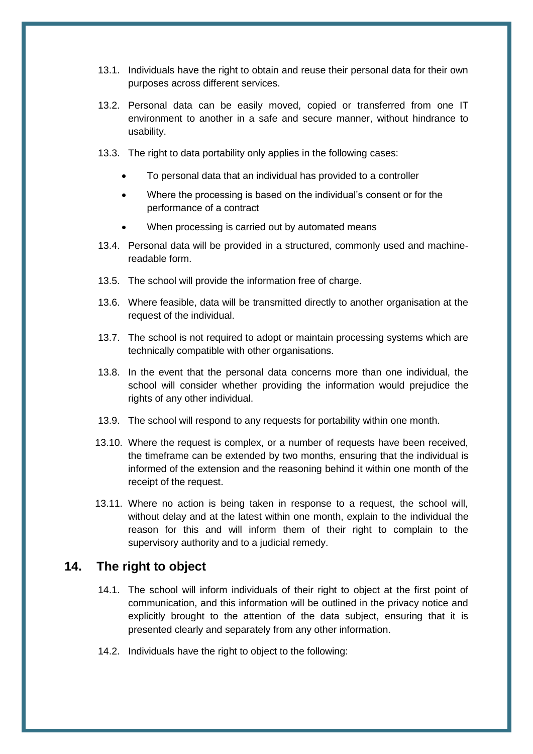- 13.1. Individuals have the right to obtain and reuse their personal data for their own purposes across different services.
- 13.2. Personal data can be easily moved, copied or transferred from one IT environment to another in a safe and secure manner, without hindrance to usability.
- 13.3. The right to data portability only applies in the following cases:
	- To personal data that an individual has provided to a controller
	- Where the processing is based on the individual's consent or for the performance of a contract
	- When processing is carried out by automated means
- 13.4. Personal data will be provided in a structured, commonly used and machinereadable form.
- 13.5. The school will provide the information free of charge.
- 13.6. Where feasible, data will be transmitted directly to another organisation at the request of the individual.
- 13.7. The school is not required to adopt or maintain processing systems which are technically compatible with other organisations.
- 13.8. In the event that the personal data concerns more than one individual, the school will consider whether providing the information would prejudice the rights of any other individual.
- 13.9. The school will respond to any requests for portability within one month.
- 13.10. Where the request is complex, or a number of requests have been received, the timeframe can be extended by two months, ensuring that the individual is informed of the extension and the reasoning behind it within one month of the receipt of the request.
- 13.11. Where no action is being taken in response to a request, the school will, without delay and at the latest within one month, explain to the individual the reason for this and will inform them of their right to complain to the supervisory authority and to a judicial remedy.

#### <span id="page-10-0"></span>**14. The right to object**

- 14.1. The school will inform individuals of their right to object at the first point of communication, and this information will be outlined in the privacy notice and explicitly brought to the attention of the data subject, ensuring that it is presented clearly and separately from any other information.
- 14.2. Individuals have the right to object to the following: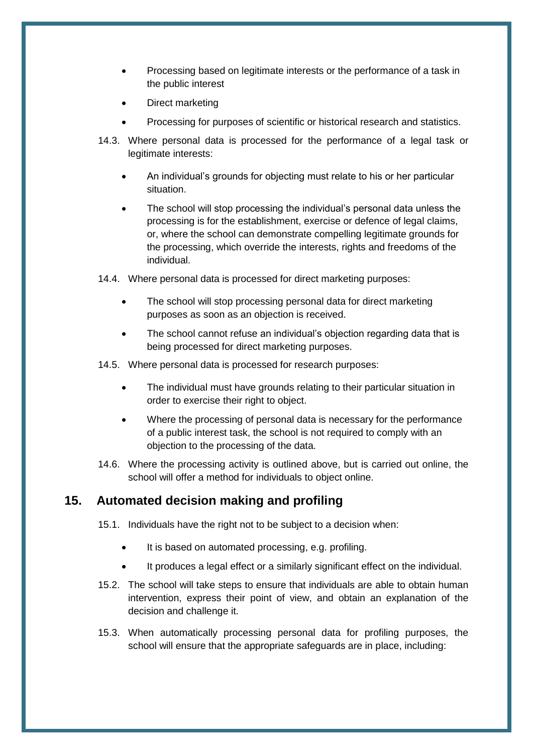- Processing based on legitimate interests or the performance of a task in the public interest
- Direct marketing
- Processing for purposes of scientific or historical research and statistics.
- 14.3. Where personal data is processed for the performance of a legal task or legitimate interests:
	- An individual's grounds for objecting must relate to his or her particular situation.
	- The school will stop processing the individual's personal data unless the processing is for the establishment, exercise or defence of legal claims, or, where the school can demonstrate compelling legitimate grounds for the processing, which override the interests, rights and freedoms of the individual.
- 14.4. Where personal data is processed for direct marketing purposes:
	- The school will stop processing personal data for direct marketing purposes as soon as an objection is received.
	- The school cannot refuse an individual's objection regarding data that is being processed for direct marketing purposes.
- 14.5. Where personal data is processed for research purposes:
	- The individual must have grounds relating to their particular situation in order to exercise their right to object.
	- Where the processing of personal data is necessary for the performance of a public interest task, the school is not required to comply with an objection to the processing of the data.
- 14.6. Where the processing activity is outlined above, but is carried out online, the school will offer a method for individuals to object online.

### <span id="page-11-0"></span>**15. Automated decision making and profiling**

- 15.1. Individuals have the right not to be subject to a decision when:
	- It is based on automated processing, e.g. profiling.
	- It produces a legal effect or a similarly significant effect on the individual.
- 15.2. The school will take steps to ensure that individuals are able to obtain human intervention, express their point of view, and obtain an explanation of the decision and challenge it.
- 15.3. When automatically processing personal data for profiling purposes, the school will ensure that the appropriate safeguards are in place, including: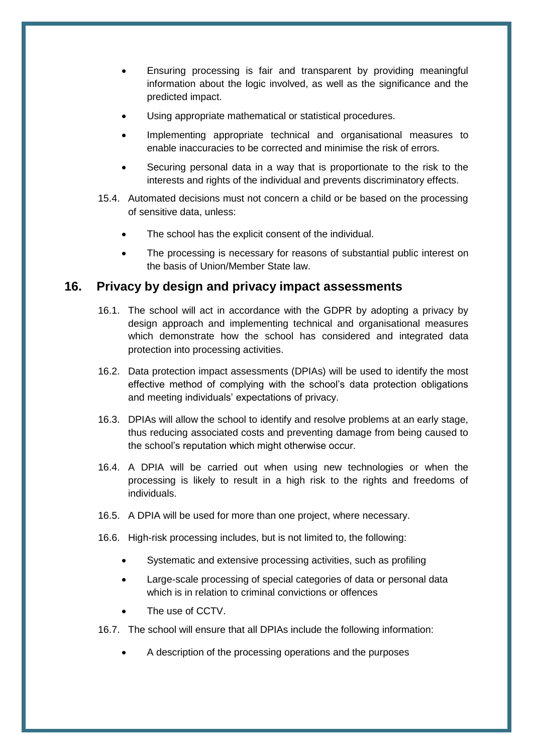- Ensuring processing is fair and transparent by providing meaningful information about the logic involved, as well as the significance and the predicted impact.
- Using appropriate mathematical or statistical procedures.
- Implementing appropriate technical and organisational measures to enable inaccuracies to be corrected and minimise the risk of errors.
- Securing personal data in a way that is proportionate to the risk to the interests and rights of the individual and prevents discriminatory effects.
- 15.4. Automated decisions must not concern a child or be based on the processing of sensitive data, unless:
	- The school has the explicit consent of the individual.
	- The processing is necessary for reasons of substantial public interest on the basis of Union/Member State law.

### <span id="page-12-0"></span>**16. Privacy by design and privacy impact assessments**

- 16.1. The school will act in accordance with the GDPR by adopting a privacy by design approach and implementing technical and organisational measures which demonstrate how the school has considered and integrated data protection into processing activities.
- 16.2. Data protection impact assessments (DPIAs) will be used to identify the most effective method of complying with the school's data protection obligations and meeting individuals' expectations of privacy.
- 16.3. DPIAs will allow the school to identify and resolve problems at an early stage, thus reducing associated costs and preventing damage from being caused to the school's reputation which might otherwise occur.
- 16.4. A DPIA will be carried out when using new technologies or when the processing is likely to result in a high risk to the rights and freedoms of individuals.
- 16.5. A DPIA will be used for more than one project, where necessary.
- 16.6. High-risk processing includes, but is not limited to, the following:
	- Systematic and extensive processing activities, such as profiling
	- Large-scale processing of special categories of data or personal data which is in relation to criminal convictions or offences
	- The use of CCTV.
- 16.7. The school will ensure that all DPIAs include the following information:
	- A description of the processing operations and the purposes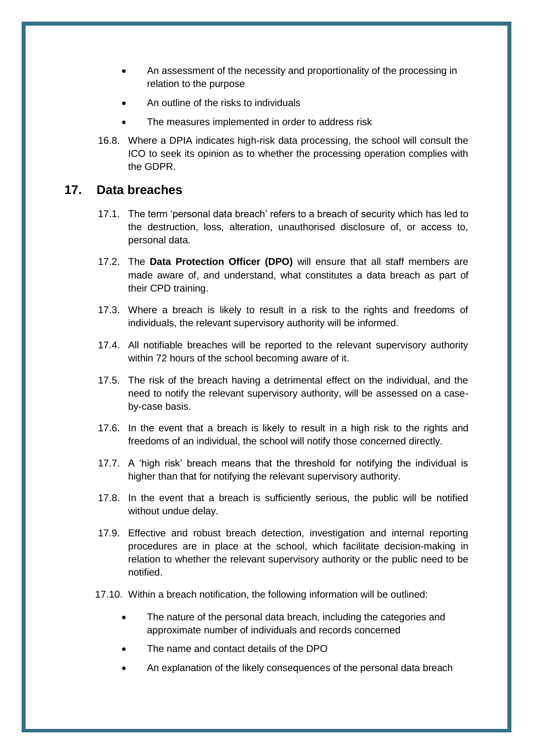- An assessment of the necessity and proportionality of the processing in relation to the purpose
- An outline of the risks to individuals
- The measures implemented in order to address risk
- 16.8. Where a DPIA indicates high-risk data processing, the school will consult the ICO to seek its opinion as to whether the processing operation complies with the GDPR.

#### <span id="page-13-0"></span>**17. Data breaches**

- 17.1. The term 'personal data breach' refers to a breach of security which has led to the destruction, loss, alteration, unauthorised disclosure of, or access to, personal data.
- 17.2. The **Data Protection Officer (DPO)** will ensure that all staff members are made aware of, and understand, what constitutes a data breach as part of their CPD training.
- 17.3. Where a breach is likely to result in a risk to the rights and freedoms of individuals, the relevant supervisory authority will be informed.
- 17.4. All notifiable breaches will be reported to the relevant supervisory authority within 72 hours of the school becoming aware of it.
- 17.5. The risk of the breach having a detrimental effect on the individual, and the need to notify the relevant supervisory authority, will be assessed on a caseby-case basis.
- 17.6. In the event that a breach is likely to result in a high risk to the rights and freedoms of an individual, the school will notify those concerned directly.
- 17.7. A 'high risk' breach means that the threshold for notifying the individual is higher than that for notifying the relevant supervisory authority.
- 17.8. In the event that a breach is sufficiently serious, the public will be notified without undue delay.
- 17.9. Effective and robust breach detection, investigation and internal reporting procedures are in place at the school, which facilitate decision-making in relation to whether the relevant supervisory authority or the public need to be notified.
- 17.10. Within a breach notification, the following information will be outlined:
	- The nature of the personal data breach, including the categories and approximate number of individuals and records concerned
	- The name and contact details of the DPO
	- An explanation of the likely consequences of the personal data breach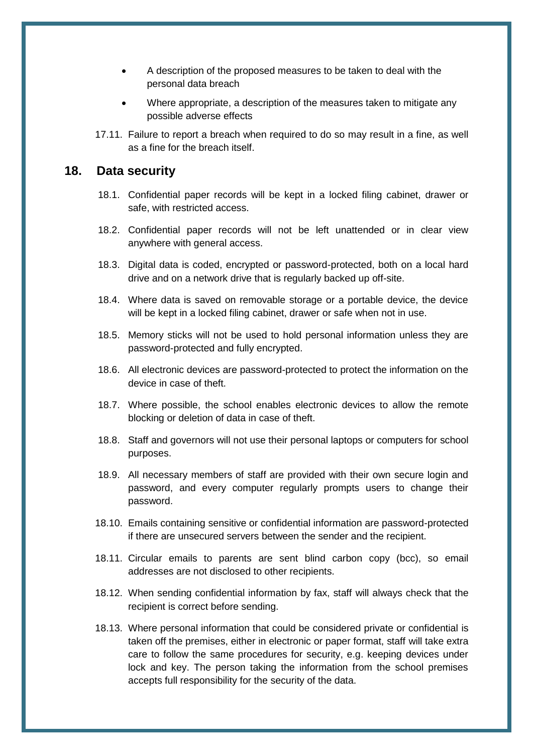- A description of the proposed measures to be taken to deal with the personal data breach
- Where appropriate, a description of the measures taken to mitigate any possible adverse effects
- 17.11. Failure to report a breach when required to do so may result in a fine, as well as a fine for the breach itself.

#### <span id="page-14-0"></span>**18. Data security**

- 18.1. Confidential paper records will be kept in a locked filing cabinet, drawer or safe, with restricted access.
- 18.2. Confidential paper records will not be left unattended or in clear view anywhere with general access.
- 18.3. Digital data is coded, encrypted or password-protected, both on a local hard drive and on a network drive that is regularly backed up off-site.
- 18.4. Where data is saved on removable storage or a portable device, the device will be kept in a locked filing cabinet, drawer or safe when not in use.
- 18.5. Memory sticks will not be used to hold personal information unless they are password-protected and fully encrypted.
- 18.6. All electronic devices are password-protected to protect the information on the device in case of theft.
- 18.7. Where possible, the school enables electronic devices to allow the remote blocking or deletion of data in case of theft.
- 18.8. Staff and governors will not use their personal laptops or computers for school purposes.
- 18.9. All necessary members of staff are provided with their own secure login and password, and every computer regularly prompts users to change their password.
- 18.10. Emails containing sensitive or confidential information are password-protected if there are unsecured servers between the sender and the recipient.
- 18.11. Circular emails to parents are sent blind carbon copy (bcc), so email addresses are not disclosed to other recipients.
- 18.12. When sending confidential information by fax, staff will always check that the recipient is correct before sending.
- 18.13. Where personal information that could be considered private or confidential is taken off the premises, either in electronic or paper format, staff will take extra care to follow the same procedures for security, e.g. keeping devices under lock and key. The person taking the information from the school premises accepts full responsibility for the security of the data.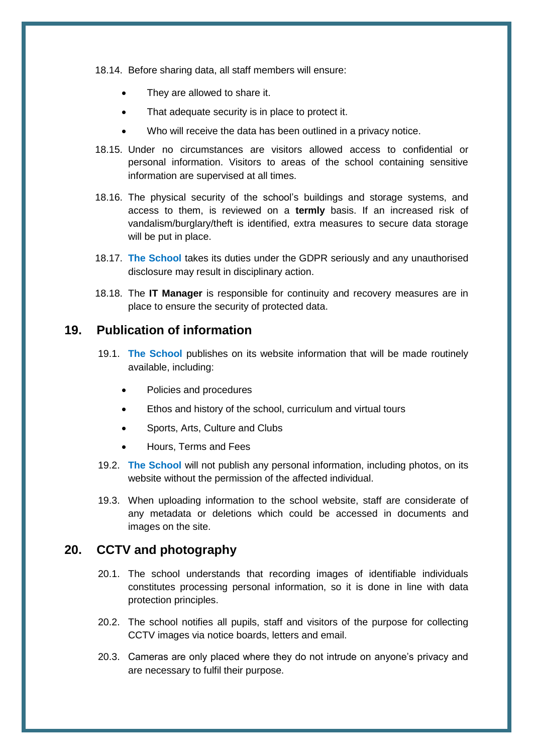18.14. Before sharing data, all staff members will ensure:

- They are allowed to share it.
- That adequate security is in place to protect it.
- Who will receive the data has been outlined in a privacy notice.
- 18.15. Under no circumstances are visitors allowed access to confidential or personal information. Visitors to areas of the school containing sensitive information are supervised at all times.
- 18.16. The physical security of the school's buildings and storage systems, and access to them, is reviewed on a **termly** basis. If an increased risk of vandalism/burglary/theft is identified, extra measures to secure data storage will be put in place.
- 18.17. **The School** takes its duties under the GDPR seriously and any unauthorised disclosure may result in disciplinary action.
- 18.18. The **IT Manager** is responsible for continuity and recovery measures are in place to ensure the security of protected data.

## <span id="page-15-0"></span>**19. Publication of information**

- 19.1. **The School** publishes on its website information that will be made routinely available, including:
	- Policies and procedures
	- Ethos and history of the school, curriculum and virtual tours
	- Sports, Arts, Culture and Clubs
	- Hours, Terms and Fees
- 19.2. **The School** will not publish any personal information, including photos, on its website without the permission of the affected individual.
- 19.3. When uploading information to the school website, staff are considerate of any metadata or deletions which could be accessed in documents and images on the site.

#### <span id="page-15-1"></span>**20. CCTV and photography**

- 20.1. The school understands that recording images of identifiable individuals constitutes processing personal information, so it is done in line with data protection principles.
- 20.2. The school notifies all pupils, staff and visitors of the purpose for collecting CCTV images via notice boards, letters and email.
- 20.3. Cameras are only placed where they do not intrude on anyone's privacy and are necessary to fulfil their purpose.